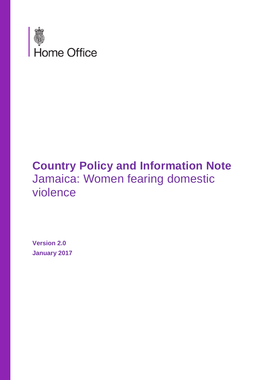

# **Country Policy and Information Note** Jamaica: Women fearing domestic violence

**Version 2.0 January 2017**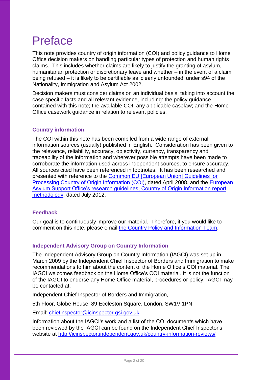# Preface

This note provides country of origin information (COI) and policy guidance to Home Office decision makers on handling particular types of protection and human rights claims. This includes whether claims are likely to justify the granting of asylum, humanitarian protection or discretionary leave and whether – in the event of a claim being refused – it is likely to be certifiable as 'clearly unfounded' under s94 of the Nationality, Immigration and Asylum Act 2002.

Decision makers must consider claims on an individual basis, taking into account the case specific facts and all relevant evidence, including: the policy guidance contained with this note; the available COI; any applicable caselaw; and the Home Office casework guidance in relation to relevant policies.

### **Country information**

The COI within this note has been compiled from a wide range of external information sources (usually) published in English. Consideration has been given to the relevance, reliability, accuracy, objectivity, currency, transparency and traceability of the information and wherever possible attempts have been made to corroborate the information used across independent sources, to ensure accuracy. All sources cited have been referenced in footnotes. It has been researched and presented with reference to the [Common EU \[European Union\] Guidelines for](http://www.refworld.org/cgi-bin/texis/vtx/rwmain?page=search&docid=48493f7f2&skip=0&query=eu%20common%20guidelines%20on%20COi)  [Processing Country of Origin Information \(COI\),](http://www.refworld.org/cgi-bin/texis/vtx/rwmain?page=search&docid=48493f7f2&skip=0&query=eu%20common%20guidelines%20on%20COi) dated April 2008, and the [European](http://ec.europa.eu/dgs/home-affairs/what-we-do/policies/asylum/european-asylum-support-office/coireportmethodologyfinallayout_en.pdf)  [Asylum Support Office's research guidelines, Country of Origin Information report](http://ec.europa.eu/dgs/home-affairs/what-we-do/policies/asylum/european-asylum-support-office/coireportmethodologyfinallayout_en.pdf)  [methodology,](http://ec.europa.eu/dgs/home-affairs/what-we-do/policies/asylum/european-asylum-support-office/coireportmethodologyfinallayout_en.pdf) dated July 2012.

### **Feedback**

Our goal is to continuously improve our material. Therefore, if you would like to comment on this note, please email [the Country Policy and Information Team.](mailto:cois@homeoffice.gsi.gov.uk)

### **Independent Advisory Group on Country Information**

The Independent Advisory Group on Country Information (IAGCI) was set up in March 2009 by the Independent Chief Inspector of Borders and Immigration to make recommendations to him about the content of the Home Office's COI material. The IAGCI welcomes feedback on the Home Office's COI material. It is not the function of the IAGCI to endorse any Home Office material, procedures or policy. IAGCI may be contacted at:

Independent Chief Inspector of Borders and Immigration,

5th Floor, Globe House, 89 Eccleston Square, London, SW1V 1PN.

Email: [chiefinspector@icinspector.gsi.gov.uk](mailto:chiefinspector@icinspector.gsi.gov.uk)

Information about the IAGCI's work and a list of the COI documents which have been reviewed by the IAGCI can be found on the Independent Chief Inspector's website at <http://icinspector.independent.gov.uk/country-information-reviews/>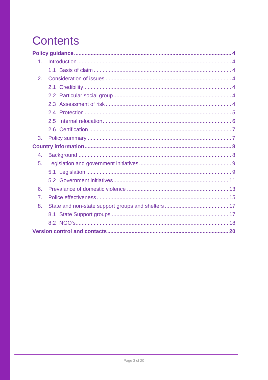# <span id="page-2-0"></span>**Contents**

| 1.             |  |
|----------------|--|
|                |  |
| 2.             |  |
|                |  |
|                |  |
|                |  |
|                |  |
|                |  |
|                |  |
| 3.             |  |
|                |  |
| 4.             |  |
| 5.             |  |
|                |  |
|                |  |
| 6.             |  |
| 7 <sub>1</sub> |  |
| 8.             |  |
|                |  |
|                |  |
|                |  |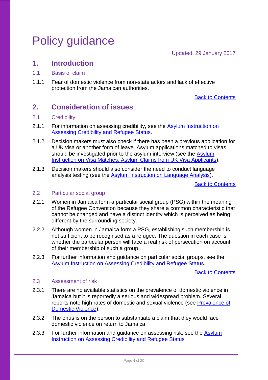# <span id="page-3-0"></span>Policy guidance

Updated: 29 January 2017

## <span id="page-3-1"></span>**1. Introduction**

- <span id="page-3-2"></span>1.1 Basis of claim
- 1.1.1 Fear of domestic violence from non-state actors and lack of effective protection from the Jamaican authorities.

[Back to Contents](#page-2-0)

# <span id="page-3-3"></span>**2. Consideration of issues**

### <span id="page-3-4"></span>2.1 Credibility

- 2.1.1 For information on assessing credibility, see the Asylum Instruction on [Assessing Credibility and Refugee Status.](https://www.gov.uk/government/publications/considering-asylum-claims-and-assessing-credibility-instruction)
- 2.1.2 Decision makers must also check if there has been a previous application for a UK visa or another form of leave. Asylum applications matched to visas should be investigated prior to the asylum interview (see the Asylum [Instruction on Visa Matches, Asylum Claims from UK Visa Applicants\)](https://www.gov.uk/government/publications/visa-matches-handling-asylum-claims-from-uk-visa-applicants-instruction).
- 2.1.3 Decision makers should also consider the need to conduct language analysis testing (see the [Asylum Instruction on Language Analysis\)](https://www.gov.uk/government/publications/language-analysis-instruction).

[Back to Contents](#page-2-0)

#### <span id="page-3-5"></span>2.2 Particular social group

- 2.2.1 Women in Jamaica form a particular social group (PSG) within the meaning of the Refugee Convention because they share a common characteristic that cannot be changed and have a distinct identity which is perceived as being different by the surrounding society.
- 2.2.2 Although women in Jamaica form a PSG, establishing such membership is not sufficient to be recognised as a refugee. The question in each case is whether the particular person will face a real risk of persecution on account of their membership of such a group.
- 2.2.3 For further information and guidance on particular social groups, see the [Asylum Instruction on Assessing Credibility and Refugee Status.](https://www.gov.uk/government/publications/considering-asylum-claims-and-assessing-credibility-instruction)

[Back to Contents](#page-2-0)

### <span id="page-3-6"></span>2.3 Assessment of risk

- 2.3.1 There are no available statistics on the prevalence of domestic violence in Jamaica but it is reportedly a serious and widespread problem. Several reports note high rates of domestic and sexual violence (see [Prevalence of](#page-12-0)  [Domestic Violence\)](#page-12-0).
- 2.3.2 The onus is on the person to substantiate a claim that they would face domestic violence on return to Jamaica.
- 2.3.3 For further information and guidance on assessing risk, see the Asylum [Instruction on Assessing Credibility and Refugee Status](https://www.gov.uk/government/publications/considering-asylum-claims-and-assessing-credibility-instruction)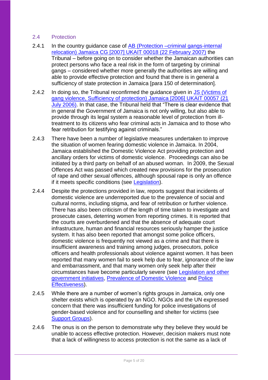## <span id="page-4-0"></span>2.4 Protection

- 2.4.1 In the country guidance case of AB (Protection –criminal gangs-internal [relocation\) Jamaica CG \[2007\] UKAIT 00018 \(22 February 2007\)](http://www.bailii.org/uk/cases/UKIAT/2007/00018.html) the Tribunal – before going on to consider whether the Jamaican authorities can protect persons who face a real risk in the form of targeting by criminal gangs – considered whether more generally the authorities are willing and able to provide effective protection and found that there is in general a sufficiency of state protection in Jamaica [para 150 of determination].
- 2.4.2 In doing so, the Tribunal reconfirmed the guidance given in JS (Victims of [gang violence, Sufficiency of protection\) Jamaica \[2006\] UKAIT 00057 \(21](http://www.bailii.org/uk/cases/UKIAT/2006/00057.html)  [July 2006\).](http://www.bailii.org/uk/cases/UKIAT/2006/00057.html) In that case, the Tribunal held that "There is clear evidence that in general the Government of Jamaica is not only willing, but also able to provide through its legal system a reasonable level of protection from illtreatment to its citizens who fear criminal acts in Jamaica and to those who fear retribution for testifying against criminals."
- 2.4.3 There have been a number of legislative measures undertaken to improve the situation of women fearing domestic violence in Jamaica. In 2004, Jamaica established the Domestic Violence Act providing protection and ancillary orders for victims of domestic violence. Proceedings can also be initiated by a third party on behalf of an abused woman. In 2009, the Sexual Offences Act was passed which created new provisions for the prosecution of rape and other sexual offences, although spousal rape is only an offence if it meets specific conditions (see [Legislation\)](#page-8-1).
- 2.4.4 Despite the protections provided in law, reports suggest that incidents of domestic violence are underreported due to the prevalence of social and cultural norms, including stigma, and fear of retribution or further violence. There has also been criticism of the length of time taken to investigate and prosecute cases, deterring women from reporting crimes. It is reported that the courts are overburdened and that the absence of adequate court infrastructure, human and financial resources seriously hamper the justice system. It has also been reported that amongst some police officers, domestic violence is frequently not viewed as a crime and that there is insufficient awareness and training among judges, prosecutors, police officers and health professionals about violence against women. It has been reported that many women fail to seek help due to fear, ignorance of the law and embarrassment, and that many women only seek help after their circumstances have become particularly severe (see [Legislation and other](#page-8-0)  [government initiatives,](#page-8-0) [Prevalence of Domestic Violence](#page-12-0) and [Police](#page-14-0)  [Effectiveness\)](#page-14-0).
- 2.4.5 While there are a number of women's rights groups in Jamaica, only one shelter exists which is operated by an NGO. NGOs and the UN expressed concern that there was insufficient funding for police investigations of gender-based violence and for counselling and shelter for victims (see [Support Groups\)](#page-16-1).
- 2.4.6 The onus is on the person to demonstrate why they believe they would be unable to access effective protection. However, decision makers must note that a lack of willingness to access protection is not the same as a lack of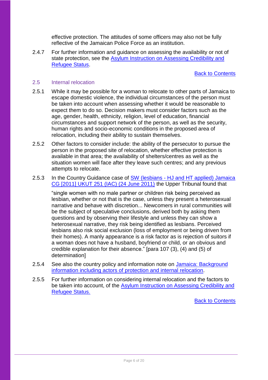effective protection. The attitudes of some officers may also not be fully reflective of the Jamaican Police Force as an institution.

2.4.7 For further information and guidance on assessing the availability or not of state protection, see the [Asylum Instruction on Assessing Credibility and](https://www.gov.uk/government/publications/considering-asylum-claims-and-assessing-credibility-instruction)  [Refugee Status.](https://www.gov.uk/government/publications/considering-asylum-claims-and-assessing-credibility-instruction)

[Back to Contents](#page-2-0)

#### <span id="page-5-0"></span>2.5 Internal relocation

- 2.5.1 While it may be possible for a woman to relocate to other parts of Jamaica to escape domestic violence, the individual circumstances of the person must be taken into account when assessing whether it would be reasonable to expect them to do so. Decision makers must consider factors such as the age, gender, health, ethnicity, religion, level of education, financial circumstances and support network of the person, as well as the security, human rights and socio-economic conditions in the proposed area of relocation, including their ability to sustain themselves.
- 2.5.2 Other factors to consider include: the ability of the persecutor to pursue the person in the proposed site of relocation, whether effective protection is available in that area; the availability of shelters/centres as well as the situation women will face after they leave such centres; and any previous attempts to relocate.
- 2.5.3 In the Country Guidance case of SW (lesbians HJ and HT applied) Jamaica [CG \[2011\] UKUT 251 \(IAC\) \(24 June 2011\)](http://www.bailii.org/uk/cases/UKUT/IAC/2011/00251_ukut_iac_2011_sw_jamaica_cg.html) the Upper Tribunal found that

"single women with no male partner or children risk being perceived as lesbian, whether or not that is the case, unless they present a heterosexual narrative and behave with discretion... Newcomers in rural communities will be the subject of speculative conclusions, derived both by asking them questions and by observing their lifestyle and unless they can show a heterosexual narrative, they risk being identified as lesbians. Perceived lesbians also risk social exclusion (loss of employment or being driven from their homes). A manly appearance is a risk factor as is rejection of suitors if a woman does not have a husband, boyfriend or child, or an obvious and credible explanation for their absence." [para 107 (3), (4) and (5) of determination]

- 2.5.4 See also the country policy and information note on Jamaica: Background [information including actors of protection and internal relocation.](https://www.gov.uk/government/publications/jamaica-country-policy-and-information-notes)
- 2.5.5 For further information on considering internal relocation and the factors to be taken into account, of the [Asylum Instruction on Assessing Credibility and](https://www.gov.uk/government/publications/considering-asylum-claims-and-assessing-credibility-instruction)  [Refugee Status.](https://www.gov.uk/government/publications/considering-asylum-claims-and-assessing-credibility-instruction)

[Back to Contents](#page-2-0)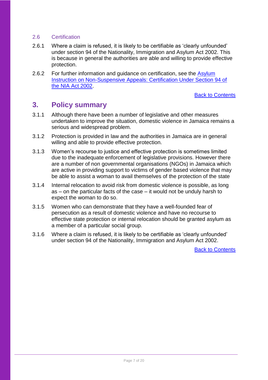### <span id="page-6-0"></span>2.6 Certification

- 2.6.1 Where a claim is refused, it is likely to be certifiable as 'clearly unfounded' under section 94 of the Nationality, Immigration and Asylum Act 2002. This is because in general the authorities are able and willing to provide effective protection.
- 2.6.2 For further information and quidance on certification, see the Asylum [Instruction on Non-Suspensive Appeals: Certification Under Section 94 of](https://www.gov.uk/government/publications/non-suspensive-appeals-certification-under-section-94-of-the-nia-act-2002-process)  [the NIA Act 2002.](https://www.gov.uk/government/publications/non-suspensive-appeals-certification-under-section-94-of-the-nia-act-2002-process)

[Back to Contents](#page-2-0)

## <span id="page-6-1"></span>**3. Policy summary**

- 3.1.1 Although there have been a number of legislative and other measures undertaken to improve the situation, domestic violence in Jamaica remains a serious and widespread problem.
- 3.1.2 Protection is provided in law and the authorities in Jamaica are in general willing and able to provide effective protection.
- 3.1.3 Women's recourse to justice and effective protection is sometimes limited due to the inadequate enforcement of legislative provisions. However there are a number of non governmental organisations (NGOs) in Jamaica which are active in providing support to victims of gender based violence that may be able to assist a woman to avail themselves of the protection of the state
- 3.1.4 Internal relocation to avoid risk from domestic violence is possible, as long as – on the particular facts of the case – it would not be unduly harsh to expect the woman to do so.
- 3.1.5 Women who can demonstrate that they have a well-founded fear of persecution as a result of domestic violence and have no recourse to effective state protection or internal relocation should be granted asylum as a member of a particular social group.
- 3.1.6 Where a claim is refused, it is likely to be certifiable as 'clearly unfounded' under section 94 of the Nationality, Immigration and Asylum Act 2002.

[Back to Contents](#page-2-0)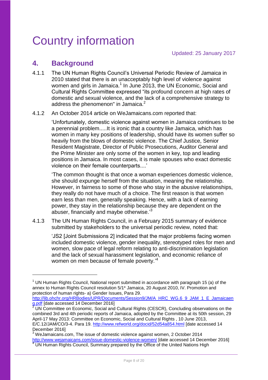# <span id="page-7-0"></span>Country information

# <span id="page-7-1"></span>**4. Background**

<u>.</u>

- 4.1.1 The UN Human Rights Council's Universal Periodic Review of Jamaica in 2010 stated that there is an unacceptably high level of violence against women and girls in Jamaica.<sup>1</sup> In June 2013, the UN Economic, Social and Cultural Rights Committee expressed "its profound concern at high rates of domestic and sexual violence, and the lack of a comprehensive strategy to address the phenomenon" in Jamaica.<sup>2</sup>
- 4.1.2 An October 2014 article on WeJamaicans.com reported that:

'Unfortunately, domestic violence against women in Jamaica continues to be a perennial problem.....It is ironic that a country like Jamaica, which has women in many key positions of leadership, should have its women suffer so heavily from the blows of domestic violence. The Chief Justice, Senior Resident Magistrate, Director of Public Prosecutions, Auditor General and the Prime Minister are only some of the women in key, top and leading positions in Jamaica. In most cases, it is male spouses who exact domestic violence on their female counterparts....'

'The common thought is that once a woman experiences domestic violence, she should expunge herself from the situation, meaning the relationship. However, in fairness to some of those who stay in the abusive relationships, they really do not have much of a choice. The first reason is that women earn less than men, generally speaking. Hence, with a lack of earning power, they stay in the relationship because they are dependent on the abuser, financially and maybe otherwise.<sup>3</sup>

4.1.3 The UN Human Rights Council, in a February 2015 summary of evidence submitted by stakeholders to the universal periodic review, noted that:

'JS2 [Joint Submissions 2] indicated that the major problems facing women included domestic violence, gender inequality, stereotyped roles for men and women, slow pace of legal reform relating to anti-discrimination legislation and the lack of sexual harassment legislation, and economic reliance of women on men because of female poverty.<sup>14</sup>

[http://lib.ohchr.org/HRBodies/UPR/Documents/Session9/JM/A\\_HRC\\_WG.6\\_9\\_JAM\\_1\\_E\\_Jamaicaen](http://lib.ohchr.org/HRBodies/UPR/Documents/Session9/JM/A_HRC_WG.6_9_JAM_1_E_Jamaicaeng.pdf) [g.pdf](http://lib.ohchr.org/HRBodies/UPR/Documents/Session9/JM/A_HRC_WG.6_9_JAM_1_E_Jamaicaeng.pdf) [date accessed 14 December 2016]

 $1$  UN Human Rights Council, National report submitted in accordance with paragraph 15 (a) of the annex to Human Rights Council resolution 5/1\* Jamaica, 20 August 2010, IV. Promotion and protection of human rights- a) Gender Issues, Para 29.

<sup>2</sup> UN Committee on Economic, Social and Cultural Rights (CESCR), Concluding observations on the combined 3rd and 4th periodic reports of Jamaica, adopted by the Committee at its 50th session, 29 April-17 May 2013: Committee on Economic, Social and Cultural Rights , 10 June 2013, E/C.12/JAM/CO/3-4. Para 19.<http://www.refworld.org/docid/52d54a854.html> [date accessed 14 December 2016]

<sup>&</sup>lt;sup>3</sup> WeJamaicans.com. The issue of domestic violence against women, 2 October 2014 <http://www.wejamaicans.com/issue-domestic-violence-women/> [date accessed 14 December 2016] <sup>4</sup> UN Human Rights Council, Summary prepared by the Office of the United Nations High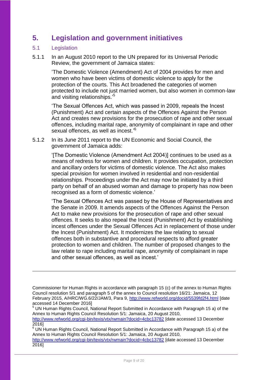# <span id="page-8-0"></span>**5. Legislation and government initiatives**

## <span id="page-8-1"></span>5.1 Legislation

1

5.1.1 In an August 2010 report to the UN prepared for its Universal Periodic Review, the government of Jamaica states:

> 'The Domestic Violence (Amendment) Act of 2004 provides for men and women who have been victims of domestic violence to apply for the protection of the courts. This Act broadened the categories of women protected to include not just married women, but also women in common-law and visiting relationships.'<sup>5</sup>

'The Sexual Offences Act, which was passed in 2009, repeals the Incest (Punishment) Act and certain aspects of the Offences Against the Person Act and creates new provisions for the prosecution of rape and other sexual offences, including marital rape, anonymity of complainant in rape and other sexual offences, as well as incest.'<sup>6</sup>

5.1.2 In its June 2011 report to the UN Economic and Social Council, the government of Jamaica adds:

> '[The Domestic Violence (Amendment Act 2004)] continues to be used as a means of redress for women and children. It provides occupation, protection and ancillary orders for victims of domestic violence. The Act also makes special provision for women involved in residential and non-residential relationships. Proceedings under the Act may now be initiated by a third party on behalf of an abused woman and damage to property has now been recognised as a form of domestic violence.'

'The Sexual Offences Act was passed by the House of Representatives and the Senate in 2009. It amends aspects of the Offences Against the Person Act to make new provisions for the prosecution of rape and other sexual offences. It seeks to also repeal the Incest (Punishment) Act by establishing incest offences under the Sexual Offences Act in replacement of those under the Incest (Punishment) Act. It modernizes the law relating to sexual offences both in substantive and procedural respects to afford greater protection to women and children. The number of proposed changes to the law relate to rape including marital rape, anonymity of complainant in rape and other sexual offences, as well as incest.'

Commissioner for Human Rights in accordance with paragraph 15 (c) of the annex to Human Rights Council resolution 5/1 and paragraph 5 of the annex to Council resolution 16/21: Jamaica, 12 February 2015, A/HRC/WG.6/22/JAM/3, Para 9,<http://www.refworld.org/docid/5539fd2f4.html> [date accessed 14 December 2016]

<sup>5</sup> UN Human Rights Council, National Report Submitted in Accordance with Paragraph 15 a) of the Annex to Human Rights Council Resolution 5/1: Jamaica, 20 August 2010, <http://www.refworld.org/cgi-bin/texis/vtx/rwmain?docid=4cbc13782> [date accessed 13 December 2016]

<sup>6</sup> UN Human Rights Council, National Report Submitted in Accordance with Paragraph 15 a) of the Annex to Human Rights Council Resolution 5/1: Jamaica, 20 August 2010,

<http://www.refworld.org/cgi-bin/texis/vtx/rwmain?docid=4cbc13782> [date accessed 13 December 2016]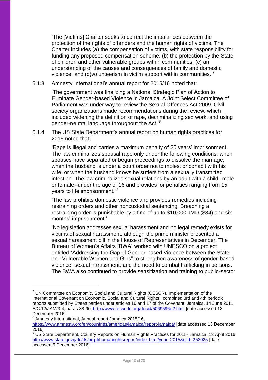'The [Victims] Charter seeks to correct the imbalances between the protection of the rights of offenders and the human rights of victims. The Charter includes (a) the compensation of victims, with state responsibility for funding any proposed compensation scheme, (b) the protection by the State of children and other vulnerable groups within communities, (c) an understanding of the causes and consequences of family and domestic violence, and (d)volunteerism in victim support within communities.<sup>7</sup>

5.1.3 Amnesty International's annual report for 2015/16 noted that:

'The government was finalizing a National Strategic Plan of Action to Eliminate Gender-based Violence in Jamaica. A Joint Select Committee of Parliament was under way to review the Sexual Offences Act 2009. Civil society organizations made recommendations during the review, which included widening the definition of rape, decriminalizing sex work, and using gender-neutral language throughout the Act.'<sup>8</sup>

5.1.4 The US State Department's annual report on human rights practices for 2015 noted that:

'Rape is illegal and carries a maximum penalty of 25 years' imprisonment. The law criminalizes spousal rape only under the following conditions: when spouses have separated or begun proceedings to dissolve the marriage; when the husband is under a court order not to molest or cohabit with his wife; or when the husband knows he suffers from a sexually transmitted infection. The law criminalizes sexual relations by an adult with a child--male or female--under the age of 16 and provides for penalties ranging from 15 years to life imprisonment.'<sup>9</sup>

'The law prohibits domestic violence and provides remedies including restraining orders and other noncustodial sentencing. Breaching a restraining order is punishable by a fine of up to \$10,000 JMD (\$84) and six months' imprisonment.'

'No legislation addresses sexual harassment and no legal remedy exists for victims of sexual harassment, although the prime minister presented a sexual harassment bill in the House of Representatives in December. The Bureau of Women's Affairs [BWA] worked with UNESCO on a project entitled "Addressing the Gap of Gender-based Violence between the State and Vulnerable Women and Girls" to strengthen awareness of gender-based violence, sexual harassment, and the need to combat trafficking in persons. The BWA also continued to provide sensitization and training to public-sector

8 Amnesty International, Annual report Jamaica 2015/16,

 $7$  UN Committee on Economic, Social and Cultural Rights (CESCR), Implementation of the International Covenant on Economic, Social and Cultural Rights : combined 3rd and 4th periodic reports submitted by States parties under articles 16 and 17 of the Covenant: Jamaica, 14 June 2011, E/C.12/JAM/3-4, paras 88-90,<http://www.refworld.org/docid/5069596d2.html> [date accessed 13 December 2016]

<https://www.amnesty.org/en/countries/americas/jamaica/report-jamaica/> [date accessed 13 December 2016]

<sup>9&</sup>lt;br><sup>9</sup> US State Department. Country Reports on Human Rights Practices for 2015- Jamaica, 13 April 2016 <http://www.state.gov/j/drl/rls/hrrpt/humanrightsreport/index.htm?year=2015&dlid=253025> [date accessed 5 December 2016]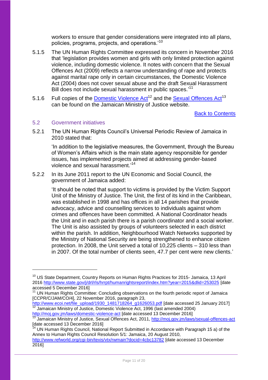workers to ensure that gender considerations were integrated into all plans, policies, programs, projects, and operations.'<sup>10</sup>

- 5.1.5 The UN Human Rights Committee expressed its concern in November 2016 that 'legislation provides women and girls with only limited protection against violence, including domestic violence. It notes with concern that the Sexual Offences Act (2009) reflects a narrow understanding of rape and protects against marital rape only in certain circumstances, the Domestic Violence Act (2004) does not cover sexual abuse and the draft Sexual Harassment Bill does not include sexual harassment in public spaces.'<sup>11</sup>
- 5.1.6 Full copies of the [Domestic Violence Act](http://moj.gov.jm/laws/domestic-violence-act)<sup>12</sup> and the [Sexual Offences Act](http://moj.gov.jm/laws/sexual-offences-act)<sup>13</sup> can be found on the Jamaican Ministry of Justice website.

[Back to Contents](#page-2-0)

#### <span id="page-10-0"></span>5.2 Government initiatives

1

5.2.1 The UN Human Rights Council's Universal Periodic Review of Jamaica in 2010 stated that:

'In addition to the legislative measures, the Government, through the Bureau of Women's Affairs which is the main state agency responsible for gender issues, has implemented projects aimed at addressing gender-based violence and sexual harassment.' 14

5.2.2 In its June 2011 report to the UN Economic and Social Council, the government of Jamaica added:

> 'It should be noted that support to victims is provided by the Victim Support Unit of the Ministry of Justice. The Unit, the first of its kind in the Caribbean, was established in 1998 and has offices in all 14 parishes that provide advocacy, advice and counselling services to individuals against whom crimes and offences have been committed. A National Coordinator heads the Unit and in each parish there is a parish coordinator and a social worker. The Unit is also assisted by groups of volunteers selected in each district within the parish. In addition, Neighbourhood Watch Networks supported by the Ministry of National Security are being strengthened to enhance citizen protection. In 2008, the Unit served a total of 10,225 clients – 310 less than in 2007. Of the total number of clients seen, 47.7 per cent were new clients.'

<sup>14</sup> UN Human Rights Council, National Report Submitted in Accordance with Paragraph 15 a) of the Annex to Human Rights Council Resolution 5/1: Jamaica, 20 August 2010, <http://www.refworld.org/cgi-bin/texis/vtx/rwmain?docid=4cbc13782> [date accessed 13 December 2016]

<sup>&</sup>lt;sup>10</sup> US State Department, Country Reports on Human Rights Practices for 2015- Jamaica, 13 April 2016<http://www.state.gov/j/drl/rls/hrrpt/humanrightsreport/index.htm?year=2015&dlid=253025> [date accessed 5 December 2016]

<sup>&</sup>lt;sup>11</sup> UN Human Rights Committee: Concluding observations on the fourth periodic report of Jamaica [CCPR/C/JAM/CO/4], 22 November 2016, paragraph 23,

[http://www.ecoi.net/file\\_upload/1930\\_1481718264\\_g1626053.pdf](http://www.ecoi.net/file_upload/1930_1481718264_g1626053.pdf) [date accessed 25 January 2017] <sup>12</sup> Jamaican Ministry of Justice, Domestic Violence Act, 1996 (last amended 2004) <http://moj.gov.jm/laws/domestic-violence-act> [date accessed 13 December 2016]

<sup>13</sup> Jamaican Ministry of Justice, Sexual Offences Act, 2011, <http://moj.gov.jm/laws/sexual-offences-act> [date accessed 13 December 2016]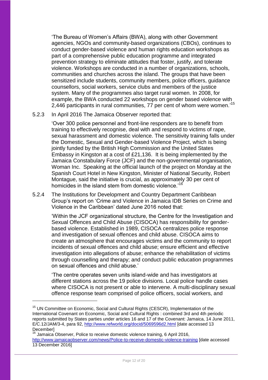'The Bureau of Women's Affairs (BWA), along with other Government agencies, NGOs and community-based organizations (CBOs), continues to conduct gender-based violence and human rights education workshops as part of a comprehensive public education programme and integrated prevention strategy to eliminate attitudes that foster, justify, and tolerate violence. Workshops are conducted in a number of organizations, schools, communities and churches across the island. The groups that have been sensitized include students, community members, police officers, guidance counsellors, social workers, service clubs and members of the justice system. Many of the programmes also target rural women. In 2008, for example, the BWA conducted 22 workshops on gender based violence with 2,446 participants in rural communities, 77 per cent of whom were women.<sup>15</sup>

### 5.2.3 In April 2016 The Jamaica Observer reported that:

'Over 300 police personnel and front-line responders are to benefit from training to effectively recognise, deal with and respond to victims of rape, sexual harassment and domestic violence. The sensitivity training falls under the Domestic, Sexual and Gender-based Violence Project, which is being jointly funded by the British High Commission and the United States Embassy in Kingston at a cost of £21,136. It is being implemented by the Jamaica Constabulary Force (JCF) and the non-governmental organisation, Woman Inc. Speaking at the official launch of the project on Monday at the Spanish Court Hotel in New Kingston, Minister of National Security, Robert Montague, said the initiative is crucial, as approximately 30 per cent of homicides in the island stem from domestic violence.<sup>16</sup>

5.2.4 The Institutions for Development and Country Department Caribbean Group's report on 'Crime and Violence in Jamaica IDB Series on Crime and Violence in the Caribbean' dated June 2016 noted that:

'Within the JCF organizational structure, the Centre for the Investigation and Sexual Offences and Child Abuse (CISOCA) has responsibility for genderbased violence. Established in 1989, CISOCA centralizes police response and investigation of sexual offences and child abuse. CISOCA aims to create an atmosphere that encourages victims and the community to report incidents of sexual offences and child abuse; ensure efficient and effective investigation into allegations of abuse; enhance the rehabilitation of victims through counselling and therapy; and conduct public education programmes on sexual offences and child abuse.'

'The centre operates seven units island-wide and has investigators at different stations across the 19 police divisions. Local police handle cases where CISOCA is not present or able to intervene. A multi-disciplinary sexual offence response team comprised of police officers, social workers, and

<sup>&</sup>lt;sup>15</sup> UN Committee on Economic, Social and Cultural Rights (CESCR), Implementation of the International Covenant on Economic, Social and Cultural Rights : combined 3rd and 4th periodic reports submitted by States parties under articles 16 and 17 of the Covenant: Jamaica, 14 June 2011, E/C.12/JAM/3-4, para 92,<http://www.refworld.org/docid/5069596d2.html> [date accessed 13 **December** 

 $16$  Jamaica Observer. Police to receive domestic violence training, 6 April 2016, <http://www.jamaicaobserver.com/news/Police-to-receive-domestic-violence-training> [date accessed 13 December 2016]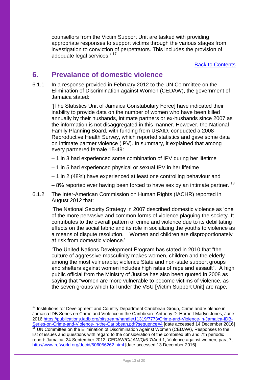counsellors from the Victim Support Unit are tasked with providing appropriate responses to support victims through the various stages from investigation to conviction of perpetrators. This includes the provision of adequate legal services.<sup>'17</sup>

[Back to Contents](#page-2-0)

## <span id="page-12-0"></span>**6. Prevalance of domestic violence**

6.1.1 In a response provided in February 2012 to the UN Committee on the Elimination of Discrimination against Women (CEDAW), the government of Jamaica stated:

'[The Statistics Unit of Jamaica Constabulary Force] have indicated their inability to provide data on the number of women who have been killed annually by their husbands, intimate partners or ex-husbands since 2007 as the information is not disaggregated in this manner. However, the National Family Planning Board, with funding from USAID, conducted a 2008 Reproductive Health Survey, which reported statistics and gave some data on intimate partner violence (IPV). In summary, it explained that among every partnered female 15-49:

- 1 in 3 had experienced some combination of IPV during her lifetime
- 1 in 5 had experienced physical or sexual IPV in her lifetime
- 1 in 2 (48%) have experienced at least one controlling behaviour and
- 8% reported ever having been forced to have sex by an intimate partner.'<sup>18</sup>
- 6.1.2 The Inter-American Commission on Human Rights (IACHR) reported in August 2012 that:

'The National Security Strategy in 2007 described domestic violence as 'one of the more pervasive and common forms of violence plaguing the society. It contributes to the overall pattern of crime and violence due to its debilitating effects on the social fabric and its role in socializing the youths to violence as a means of dispute resolution. Women and children are disproportionately at risk from domestic violence.'

'The United Nations Development Program has stated in 2010 that "the culture of aggressive masculinity makes women, children and the elderly among the most vulnerable; violence State and non-state support groups and shelters against women includes high rates of rape and assault". A high public official from the Ministry of Justice has also been quoted in 2008 as saying that "women are more vulnerable to become victims of violence, as the seven groups which fall under the VSU [Victim Support Unit] are rape,

 $17$  Institutions for Development and Country Department Caribbean Group, Crime and Violence in Jamaica IDB Series on Crime and Violence in the Caribbean- Anthony D. Harriott Marlyn Jones, June 2016 [https://publications.iadb.org/bitstream/handle/11319/7773/Crime-and-Violence-in-Jamaica-IDB-](https://publications.iadb.org/bitstream/handle/11319/7773/Crime-and-Violence-in-Jamaica-IDB-Series-on-Crime-and-Violence-in-the-Caribbean.pdf?sequence=4)

[Series-on-Crime-and-Violence-in-the-Caribbean.pdf?sequence=4](https://publications.iadb.org/bitstream/handle/11319/7773/Crime-and-Violence-in-Jamaica-IDB-Series-on-Crime-and-Violence-in-the-Caribbean.pdf?sequence=4) [date accessed 14 December 2016]  $18$  UN Committee on the Elimination of Discrimination Against Women (CEDAW), Responses to the list of issues and questions with regard to the consideration of the combined 6th and 7th periodic report: Jamaica, 24 September 2012, CEDAW/C/JAM/Q/6-7/Add.1, Violence against women, para 7, <http://www.refworld.org/docid/506056262.html> [date accessed 13 December 2016]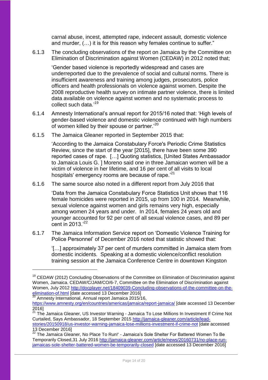carnal abuse, incest, attempted rape, indecent assault, domestic violence and murder, (…) it is for this reason why females continue to suffer."

6.1.3 The concluding observations of the report on Jamaica by the Committee on Elimination of Discrimination against Women (CEDAW) in 2012 noted that;

'Gender based violence is reportedly widespread and cases are underreported due to the prevalence of social and cultural norms. There is insufficient awareness and training among judges, prosecutors, police officers and health professionals on violence against women. Despite the 2008 reproductive health survey on intimate partner violence, there is limited data available on violence against women and no systematic process to collect such data.'<sup>19</sup>

- 6.1.4 Amnesty International's annual report for 2015/16 noted that: 'High levels of gender-based violence and domestic violence continued with high numbers of women killed by their spouse or partner.<sup>20</sup>
- 6.1.5 The Jamaica Gleaner reported in September 2015 that:

1

'According to the Jamaica Constabulary Force's Periodic Crime Statistics Review, since the start of the year [2015], there have been some 390 reported cases of rape. […] Quoting statistics, [United States Ambassador to Jamaica Louis G. ] Moreno said one in three Jamaican women will be a victim of violence in her lifetime, and 16 per cent of all visits to local hospitals' emergency rooms are because of rape.<sup>221</sup>

6.1.6 The same source also noted in a different report from July 2016 that

'Data from the Jamaica Constabulary Force Statistics Unit shows that 116 female homicides were reported in 2015, up from 100 in 2014. Meanwhile, sexual violence against women and girls remains very high, especially among women 24 years and under. In 2014, females 24 years old and younger accounted for 92 per cent of all sexual violence cases, and 89 per cent in  $2013.^{22}$ 

6.1.7 The Jamaica Information Service report on 'Domestic Violence Training for Police Personnel' of December 2016 noted that statistic showed that:

'[…] approximately 37 per cent of murders committed in Jamaica stem from domestic incidents. Speaking at a domestic violence/conflict resolution training session at the Jamaica Conference Centre in downtown Kingston

<sup>&</sup>lt;sup>19</sup> CEDAW (2012) Concluding Observations of the Committee on Elimination of Discrimination against Women, Jamaica. CEDAW/C/JAM/CO/6-7, Committee on the Elimination of Discrimination against Women, July 2012 [http://docplayer.net/18409039-Concluding-observations-of-the-committee-on-the](http://docplayer.net/18409039-Concluding-observations-of-the-committee-on-the-elimination-of.html)[elimination-of.html](http://docplayer.net/18409039-Concluding-observations-of-the-committee-on-the-elimination-of.html) [date accessed 13 December 2016]

<sup>20</sup> Amnesty International, Annual report Jamaica 2015/16, <https://www.amnesty.org/en/countries/americas/jamaica/report-jamaica/> [date accessed 13 December 2016]

<sup>&</sup>lt;sup>21</sup> The Jamaica Gleaner, US Investor Warning - Jamaica To Lose Millions In Investment If Crime Not Curtailed, Says Ambassador, 18 September 2015 [http://jamaica-gleaner.com/article/lead-](http://jamaica-gleaner.com/article/lead-stories/20150918/us-investor-warning-jamaica-lose-millions-investment-if-crime-not)

[stories/20150918/us-investor-warning-jamaica-lose-millions-investment-if-crime-not](http://jamaica-gleaner.com/article/lead-stories/20150918/us-investor-warning-jamaica-lose-millions-investment-if-crime-not) [date accessed 13 December 2016]

<sup>22</sup> The Jamaica Gleaner, No Place To Run!' - Jamaica's Sole Shelter For Battered Women To Be Temporarily Closed,31 July 2016 [http://jamaica-gleaner.com/article/news/20160731/no-place-run](http://jamaica-gleaner.com/article/news/20160731/no-place-run-jamaicas-sole-shelter-battered-women-be-temporarily-closed)[jamaicas-sole-shelter-battered-women-be-temporarily-closed](http://jamaica-gleaner.com/article/news/20160731/no-place-run-jamaicas-sole-shelter-battered-women-be-temporarily-closed) [date accessed 13 December 2016]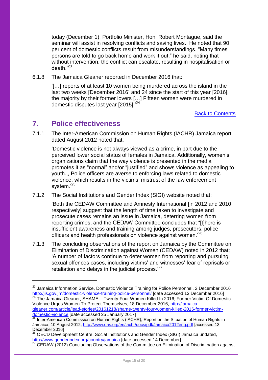today (December 1), Portfolio Minister, Hon. Robert Montague, said the seminar will assist in resolving conflicts and saving lives. He noted that 90 per cent of domestic conflicts result from misunderstandings. "Many times persons are told to go back home and work it out," he said, noting that without intervention, the conflict can escalate, resulting in hospitalisation or death $^{123}$ 

6.1.8 The Jamaica Gleaner reported in December 2016 that:

'[…] reports of at least 10 women being murdered across the island in the last two weeks [December 2016] and 24 since the start of this year [2016], the majority by their former lovers […] Fifteen women were murdered in domestic disputes last year [2015].<sup>'24</sup>

[Back to Contents](#page-2-0)

## <span id="page-14-0"></span>**7. Police effectiveness**

1

7.1.1 The Inter-American Commission on Human Rights (IACHR) Jamaica report dated August 2012 noted that:

'Domestic violence is not always viewed as a crime, in part due to the perceived lower social status of females in Jamaica. Additionally, women's organizations claim that the way violence is presented in the media promotes it as "normal" and/or "justified" and shows violence as appealing to youth.,, Police officers are averse to enforcing laws related to domestic violence, which results in the victims' mistrust of the law enforcement system.'<sup>25</sup>

7.1.2 The Social Institutions and Gender Index (SIGI) website noted that:

'Both the CEDAW Committee and Amnesty International [in 2012 and 2010 respectively] suggest that the length of time taken to investigate and prosecute cases remains an issue in Jamaica, deterring women from reporting crimes, and the CEDAW Committee concludes that "[t]here is insufficient awareness and training among judges, prosecutors, police officers and health professionals on violence against women.'<sup>26</sup>

7.1.3 The concluding observations of the report on Jamaica by the Committee on Elimination of Discrimination against Women (CEDAW) noted in 2012 that; 'A number of factors continue to deter women from reporting and pursuing sexual offences cases, including victims' and witnesses' fear of reprisals or retaliation and delays in the judicial process.'<sup>27</sup>

<sup>&</sup>lt;sup>23</sup> Jamaica Information Service, Domestic Violence Training for Police Personnel, 2 December 2016 <http://jis.gov.jm/domestic-violence-training-police-personnel/> [date accessed 13 December 2016] <sup>24</sup> The Jamaica Gleaner, SHAME! - Twenty-Four Women Killed In 2016; Former Victim Of Domestic Violence Urges Women To Protect Themselves, 18 December 2016, [http://jamaica](http://jamaica-gleaner.com/article/lead-stories/20161218/shame-twenty-four-women-killed-2016-former-victim-domestic-violence)[gleaner.com/article/lead-stories/20161218/shame-twenty-four-women-killed-2016-former-victim-](http://jamaica-gleaner.com/article/lead-stories/20161218/shame-twenty-four-women-killed-2016-former-victim-domestic-violence)

[domestic-violence](http://jamaica-gleaner.com/article/lead-stories/20161218/shame-twenty-four-women-killed-2016-former-victim-domestic-violence) [date accessed 25 January 2017] Inter-American Commission on Human Rights (IACHR), Report on the Situation of Human Rights in Jamaica, 10 August 2012, <http://www.oas.org/en/iachr/docs/pdf/Jamaica2012eng.pdf> [accessed 13 December 2016]

<sup>26</sup> OECD Development Centre, Social Institutions and Gender Index (SIGI) Jamaica undated, <http://www.genderindex.org/country/jamaica> [date accessed 14 December]

<sup>27</sup> CEDAW (2012) Concluding Observations of the Committee on Elimination of Discrimination against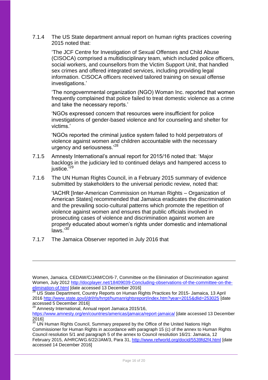7.1.4 The US State department annual report on human rights practices covering 2015 noted that:

'The JCF Centre for Investigation of Sexual Offenses and Child Abuse (CISOCA) comprised a multidisciplinary team, which included police officers, social workers, and counsellors from the Victim Support Unit, that handled sex crimes and offered integrated services, including providing legal information. CISOCA officers received tailored training on sexual offense investigations.'

'The nongovernmental organization (NGO) Woman Inc. reported that women frequently complained that police failed to treat domestic violence as a crime and take the necessary reports.'

'NGOs expressed concern that resources were insufficient for police investigations of gender-based violence and for counseling and shelter for victims.'

'NGOs reported the criminal justice system failed to hold perpetrators of violence against women and children accountable with the necessary urgency and seriousness.<sup>'28</sup>

- 7.1.5 Amnesty International's annual report for 2015/16 noted that: 'Major backlogs in the judiciary led to continued delays and hampered access to justice.<sup>'29</sup>
- 7.1.6 The UN Human Rights Council, in a February 2015 summary of evidence submitted by stakeholders to the universal periodic review, noted that:

'IACHR [Inter-American Commission on Human Rights – Organization of American States] recommended that Jamaica eradicates the discrimination and the prevailing socio‐cultural patterns which promote the repetition of violence against women and ensures that public officials involved in prosecuting cases of violence and discrimination against women are properly educated about women's rights under domestic and international  $_{\rm{}14W}$ s<sup>, 30</sup>

7.1.7 The Jamaica Observer reported in July 2016 that

<sup>29</sup> Amnesty International, Annual report Jamaica 2015/16,

Women, Jamaica. CEDAW/C/JAM/CO/6-7, Committee on the Elimination of Discrimination against Women, July 2012 [http://docplayer.net/18409039-Concluding-observations-of-the-committee-on-the](http://docplayer.net/18409039-Concluding-observations-of-the-committee-on-the-elimination-of.html)[elimination-of.html](http://docplayer.net/18409039-Concluding-observations-of-the-committee-on-the-elimination-of.html) [date accessed 13 December 2016]

<sup>&</sup>lt;sup>28</sup> US State Department, Country Reports on Human Rights Practices for 2015- Jamaica, 13 April 2016<http://www.state.gov/j/drl/rls/hrrpt/humanrightsreport/index.htm?year=2015&dlid=253025> [date accessed 5 December 2016]

<https://www.amnesty.org/en/countries/americas/jamaica/report-jamaica/> [date accessed 13 December 2016]

<sup>&</sup>lt;sup>30</sup> UN Human Rights Council, Summary prepared by the Office of the United Nations High Commissioner for Human Rights in accordance with paragraph 15 (c) of the annex to Human Rights Council resolution 5/1 and paragraph 5 of the annex to Council resolution 16/21: Jamaica, 12 February 2015, A/HRC/WG.6/22/JAM/3, Para 31,<http://www.refworld.org/docid/5539fd2f4.html> [date accessed 14 December 2016]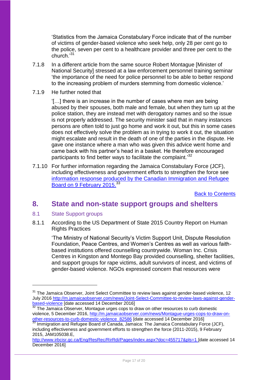'Statistics from the Jamaica Constabulary Force indicate that of the number of victims of gender-based violence who seek help, only 28 per cent go to the police, seven per cent to a healthcare provider and three per cent to the church.'<sup>31</sup>

- 7.1.8 In a different article from the same source Robert Montague [Minister of National Security] stressed at a law enforcement personnel training seminar 'the importance of the need for police personnel to be able to better respond to the increasing problem of murders stemming from domestic violence.'
- 7.1.9 He further noted that

'[…] there is an increase in the number of cases where men are being abused by their spouses, both male and female, but when they turn up at the police station, they are instead met with derogatory names and so the issue is not properly addressed. The security minister said that in many instances persons are often told to just go home and work it out, but this in some cases does not effectively solve the problem as in trying to work it out, the situation might escalate and result in the death of one of the parties in the dispute. He gave one instance where a man who was given this advice went home and came back with his partner's head in a basket. He therefore encouraged participants to find better ways to facilitate the complaint.<sup>32</sup>

7.1.10 For further information regarding the Jamaica Constabulary Force (JCF), including effectiveness and government efforts to strengthen the force see [information response produced by the Canadian Immigration and Refugee](http://www.irb-cisr.gc.ca/Eng/ResRec/RirRdi/Pages/index.aspx?doc=455717&pls=1)  [Board on 9 February 2015.](http://www.irb-cisr.gc.ca/Eng/ResRec/RirRdi/Pages/index.aspx?doc=455717&pls=1)<sup>33</sup>

[Back to Contents](#page-2-0)

## <span id="page-16-0"></span>**8. State and non-state support groups and shelters**

<span id="page-16-1"></span>8.1 State Support groups

1

8.1.1 According to the US Department of State 2015 Country Report on Human Rights Practices

'The Ministry of National Security's Victim Support Unit, Dispute Resolution Foundation, Peace Centres, and Women's Centres as well as various faithbased institutions offered counselling countrywide. Woman Inc. Crisis Centres in Kingston and Montego Bay provided counselling, shelter facilities, and support groups for rape victims, adult survivors of incest, and victims of gender-based violence. NGOs expressed concern that resources were

<sup>&</sup>lt;sup>31</sup> The Jamaica Observer, Joint Select Committee to review laws against gender-based violence, 12 July 2016 [http://m.jamaicaobserver.com/news/Joint-Select-Committee-to-review-laws-against-gender](http://m.jamaicaobserver.com/news/Joint-Select-Committee-to-review-laws-against-gender-based-violence)[based-violence](http://m.jamaicaobserver.com/news/Joint-Select-Committee-to-review-laws-against-gender-based-violence) [date accessed 14 December 2016]

 $32$  The Jamaica Observer, Montague urges cops to draw on other resources to curb domestic violence, 5 December 2016, [http://m.jamaicaobserver.com/news/Montague-urges-cops-to-draw-on](http://m.jamaicaobserver.com/news/Montague-urges-cops-to-draw-on-other-resources-to-curb-domestic-violence_82586)[other-resources-to-curb-domestic-violence\\_82586](http://m.jamaicaobserver.com/news/Montague-urges-cops-to-draw-on-other-resources-to-curb-domestic-violence_82586) [date accessed 14 December 2016]

<sup>33</sup> Immigration and Refugee Board of Canada, Jamaica: The Jamaica Constabulary Force (JCF). including effectiveness and government efforts to strengthen the force (2011-2015), 9 February 2015, JAM105038.E,

<http://www.irbcisr.gc.ca/Eng/ResRec/RirRdi/Pages/index.aspx?doc=455717&pls=1> [date accessed 14 December 2016]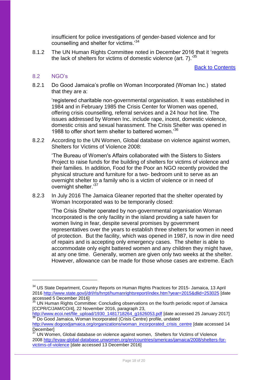insufficient for police investigations of gender-based violence and for counselling and shelter for victims.'<sup>34</sup>

8.1.2 The UN Human Rights Committee noted in December 2016 that it 'regrets the lack of shelters for victims of domestic violence (art. 7).<sup>35</sup>

[Back to Contents](#page-2-0)

#### <span id="page-17-0"></span>8.2 NGO's

1

8.2.1 Do Good Jamaica's profile on Woman Incorporated (Woman Inc.) stated that they are a:

'registered charitable non-governmental organisation. It was established in 1984 and in February 1985 the Crisis Center for Women was opened, offering crisis counselling, referral services and a 24 hour hot line. The issues addressed by Women Inc. include rape, incest, domestic violence, domestic crisis and sexual harassment. The Crisis Shelter was opened in 1988 to offer short term shelter to battered women.'<sup>36</sup>

8.2.2 According to the UN Women, Global database on violence against women, Shelters for Victims of Violence 2008:

'The Bureau of Women's Affairs collaborated with the Sisters to Sisters Project to raise funds for the building of shelters for victims of violence and their families. In addition, Food for the Poor an NGO recently provided the physical structure and furniture for a two- bedroom unit to serve as an overnight shelter to a family who is a victim of violence or in need of overnight shelter.'<sup>37</sup>

8.2.3 In July 2016 The Jamaica Gleaner reported that the shelter operated by Woman Incorporated was to be temporarily closed:

'The Crisis Shelter operated by non-governmental organisation Woman Incorporated is the only facility in the island providing a safe haven for women living in fear, despite several promises by government representatives over the years to establish three shelters for women in need of protection. But the facility, which was opened in 1987, is now in dire need of repairs and is accepting only emergency cases. The shelter is able to accommodate only eight battered women and any children they might have, at any one time. Generally, women are given only two weeks at the shelter. However, allowance can be made for those whose cases are extreme. Each

<sup>&</sup>lt;sup>34</sup> US State Department, Country Reports on Human Rights Practices for 2015- Jamaica, 13 April 2016<http://www.state.gov/j/drl/rls/hrrpt/humanrightsreport/index.htm?year=2015&dlid=253025> [date accessed 5 December 2016]

<sup>&</sup>lt;sup>35</sup> UN Human Rights Committee: Concluding observations on the fourth periodic report of Jamaica [CCPR/C/JAM/CO/4], 22 November 2016, paragraph 23,

[http://www.ecoi.net/file\\_upload/1930\\_1481718264\\_g1626053.pdf](http://www.ecoi.net/file_upload/1930_1481718264_g1626053.pdf) [date accessed 25 January 2017] <sup>36</sup> Do Good Jamaica, Woman Incorporated (Crisis Centre) profile, undated

[http://www.dogoodjamaica.org/organizations/woman\\_incorporated\\_crisis\\_centre](http://www.dogoodjamaica.org/organizations/woman_incorporated_crisis_centre) [date accessed 14 **Decemberl** 

<sup>&</sup>lt;sup>37</sup> UN Women. Global database on violence against women, Shelters for Victims of Violence 2008 [http://evaw-global-database.unwomen.org/en/countries/americas/jamaica/2008/shelters-for](http://evaw-global-database.unwomen.org/en/countries/americas/jamaica/2008/shelters-for-victims-of-violence)[victims-of-violence](http://evaw-global-database.unwomen.org/en/countries/americas/jamaica/2008/shelters-for-victims-of-violence) [date accessed 13 December 2016]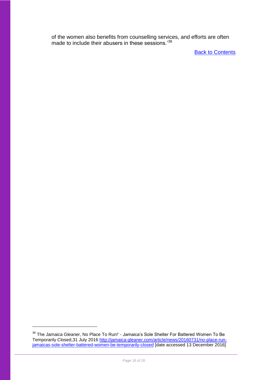of the women also benefits from counselling services, and efforts are often made to include their abusers in these sessions.<sup>38</sup>

**[Back to Contents](#page-2-0)** 

<sup>&</sup>lt;sup>38</sup> The Jamaica Gleaner, No Place To Run!' - Jamaica's Sole Shelter For Battered Women To Be Temporarily Closed,31 July 2016 [http://jamaica-gleaner.com/article/news/20160731/no-place-run](http://jamaica-gleaner.com/article/news/20160731/no-place-run-jamaicas-sole-shelter-battered-women-be-temporarily-closed)[jamaicas-sole-shelter-battered-women-be-temporarily-closed](http://jamaica-gleaner.com/article/news/20160731/no-place-run-jamaicas-sole-shelter-battered-women-be-temporarily-closed) [date accessed 13 December 2016]